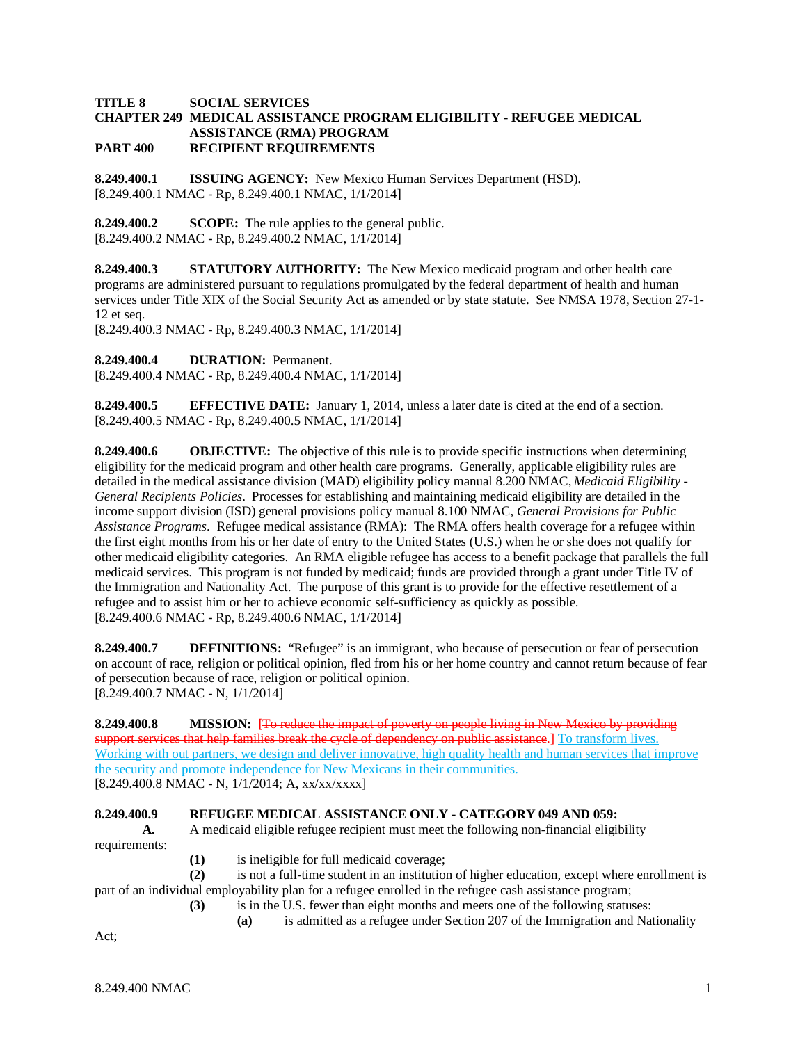## **TITLE 8 SOCIAL SERVICES CHAPTER 249 MEDICAL ASSISTANCE PROGRAM ELIGIBILITY - REFUGEE MEDICAL ASSISTANCE (RMA) PROGRAM PART 400 RECIPIENT REQUIREMENTS**

**8.249.400.1 ISSUING AGENCY:** New Mexico Human Services Department (HSD). [8.249.400.1 NMAC - Rp, 8.249.400.1 NMAC, 1/1/2014]

**8.249.400.2 SCOPE:** The rule applies to the general public. [8.249.400.2 NMAC - Rp, 8.249.400.2 NMAC, 1/1/2014]

**8.249.400.3 STATUTORY AUTHORITY:** The New Mexico medicaid program and other health care programs are administered pursuant to regulations promulgated by the federal department of health and human services under Title XIX of the Social Security Act as amended or by state statute. See NMSA 1978, Section 27-1- 12 et seq.

[8.249.400.3 NMAC - Rp, 8.249.400.3 NMAC, 1/1/2014]

**8.249.400.4 DURATION:** Permanent.

[8.249.400.4 NMAC - Rp, 8.249.400.4 NMAC, 1/1/2014]

**8.249.400.5 EFFECTIVE DATE:** January 1, 2014, unless a later date is cited at the end of a section. [8.249.400.5 NMAC - Rp, 8.249.400.5 NMAC, 1/1/2014]

**8.249.400.6 OBJECTIVE:** The objective of this rule is to provide specific instructions when determining eligibility for the medicaid program and other health care programs. Generally, applicable eligibility rules are detailed in the medical assistance division (MAD) eligibility policy manual 8.200 NMAC, *Medicaid Eligibility - General Recipients Policies*. Processes for establishing and maintaining medicaid eligibility are detailed in the income support division (ISD) general provisions policy manual 8.100 NMAC, *General Provisions for Public Assistance Programs*. Refugee medical assistance (RMA): The RMA offers health coverage for a refugee within the first eight months from his or her date of entry to the United States (U.S.) when he or she does not qualify for other medicaid eligibility categories. An RMA eligible refugee has access to a benefit package that parallels the full medicaid services. This program is not funded by medicaid; funds are provided through a grant under Title IV of the Immigration and Nationality Act. The purpose of this grant is to provide for the effective resettlement of a refugee and to assist him or her to achieve economic self-sufficiency as quickly as possible. [8.249.400.6 NMAC - Rp, 8.249.400.6 NMAC, 1/1/2014]

**8.249.400.7 DEFINITIONS:** "Refugee" is an immigrant, who because of persecution or fear of persecution on account of race, religion or political opinion, fled from his or her home country and cannot return because of fear of persecution because of race, religion or political opinion. [8.249.400.7 NMAC - N, 1/1/2014]

**8.249.400.8 MISSION: [**To reduce the impact of poverty on people living in New Mexico by providing support services that help families break the cycle of dependency on public assistance.] To transform lives. Working with out partners, we design and deliver innovative, high quality health and human services that improve the security and promote independence for New Mexicans in their communities.  $[8.249.400.8 \text{ NMAC} - \text{N}, 1/1/2014; \text{A}, \text{xx}/\text{xx}/\text{xx} \text{X}$ 

#### **8.249.400.9 REFUGEE MEDICAL ASSISTANCE ONLY - CATEGORY 049 AND 059:**

**A.** A medicaid eligible refugee recipient must meet the following non-financial eligibility requirements:

**(1)** is ineligible for full medicaid coverage;

**(2)** is not a full-time student in an institution of higher education, except where enrollment is part of an individual employability plan for a refugee enrolled in the refugee cash assistance program;

- **(3)** is in the U.S. fewer than eight months and meets one of the following statuses:
	- **(a)** is admitted as a refugee under Section 207 of the Immigration and Nationality

Act;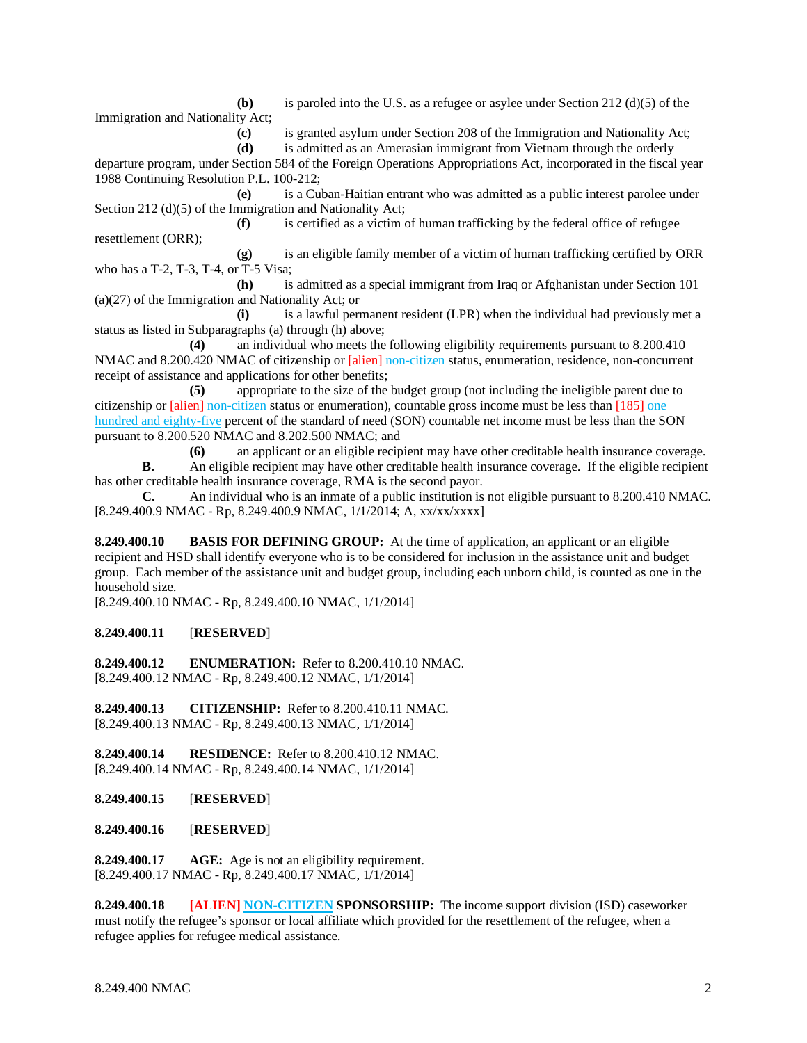**(b)** is paroled into the U.S. as a refugee or asylee under Section 212 (d)(5) of the

Immigration and Nationality Act;

**(c)** is granted asylum under Section 208 of the Immigration and Nationality Act;

**(d)** is admitted as an Amerasian immigrant from Vietnam through the orderly

departure program, under Section 584 of the Foreign Operations Appropriations Act, incorporated in the fiscal year 1988 Continuing Resolution P.L. 100-212;

**(e)** is a Cuban-Haitian entrant who was admitted as a public interest parolee under Section 212 (d)(5) of the Immigration and Nationality Act;

**(f)** is certified as a victim of human trafficking by the federal office of refugee resettlement (ORR);

**(g)** is an eligible family member of a victim of human trafficking certified by ORR who has a T-2, T-3, T-4, or T-5 Visa;

**(h)** is admitted as a special immigrant from Iraq or Afghanistan under Section 101 (a)(27) of the Immigration and Nationality Act; or

**(i)** is a lawful permanent resident (LPR) when the individual had previously met a status as listed in Subparagraphs (a) through (h) above;

**(4)** an individual who meets the following eligibility requirements pursuant to 8.200.410 NMAC and 8.200.420 NMAC of citizenship or [alien] non-citizen status, enumeration, residence, non-concurrent receipt of assistance and applications for other benefits;

**(5)** appropriate to the size of the budget group (not including the ineligible parent due to citizenship or [alien] non-citizen status or enumeration), countable gross income must be less than [185] one hundred and eighty-five percent of the standard of need (SON) countable net income must be less than the SON pursuant to 8.200.520 NMAC and 8.202.500 NMAC; and

**(6)** an applicant or an eligible recipient may have other creditable health insurance coverage. **B.** An eligible recipient may have other creditable health insurance coverage. If the eligible recipient

has other creditable health insurance coverage, RMA is the second payor.

**C.** An individual who is an inmate of a public institution is not eligible pursuant to 8.200.410 NMAC*.* [8.249.400.9 NMAC - Rp, 8.249.400.9 NMAC, 1/1/2014; A, xx/xx/xxxx]

**8.249.400.10 BASIS FOR DEFINING GROUP:** At the time of application, an applicant or an eligible recipient and HSD shall identify everyone who is to be considered for inclusion in the assistance unit and budget group. Each member of the assistance unit and budget group, including each unborn child, is counted as one in the household size.

[8.249.400.10 NMAC - Rp, 8.249.400.10 NMAC, 1/1/2014]

# **8.249.400.11** [**RESERVED**]

**8.249.400.12 ENUMERATION:** Refer to 8.200.410.10 NMAC. [8.249.400.12 NMAC - Rp, 8.249.400.12 NMAC, 1/1/2014]

**8.249.400.13 CITIZENSHIP:** Refer to 8.200.410.11 NMAC. [8.249.400.13 NMAC - Rp, 8.249.400.13 NMAC, 1/1/2014]

**8.249.400.14 RESIDENCE:** Refer to 8.200.410.12 NMAC. [8.249.400.14 NMAC - Rp, 8.249.400.14 NMAC, 1/1/2014]

**8.249.400.15** [**RESERVED**]

**8.249.400.16** [**RESERVED**]

**8.249.400.17 AGE:** Age is not an eligibility requirement. [8.249.400.17 NMAC - Rp, 8.249.400.17 NMAC, 1/1/2014]

**8.249.400.18 [ALIEN] NON-CITIZEN SPONSORSHIP:** The income support division (ISD) caseworker must notify the refugee's sponsor or local affiliate which provided for the resettlement of the refugee, when a refugee applies for refugee medical assistance.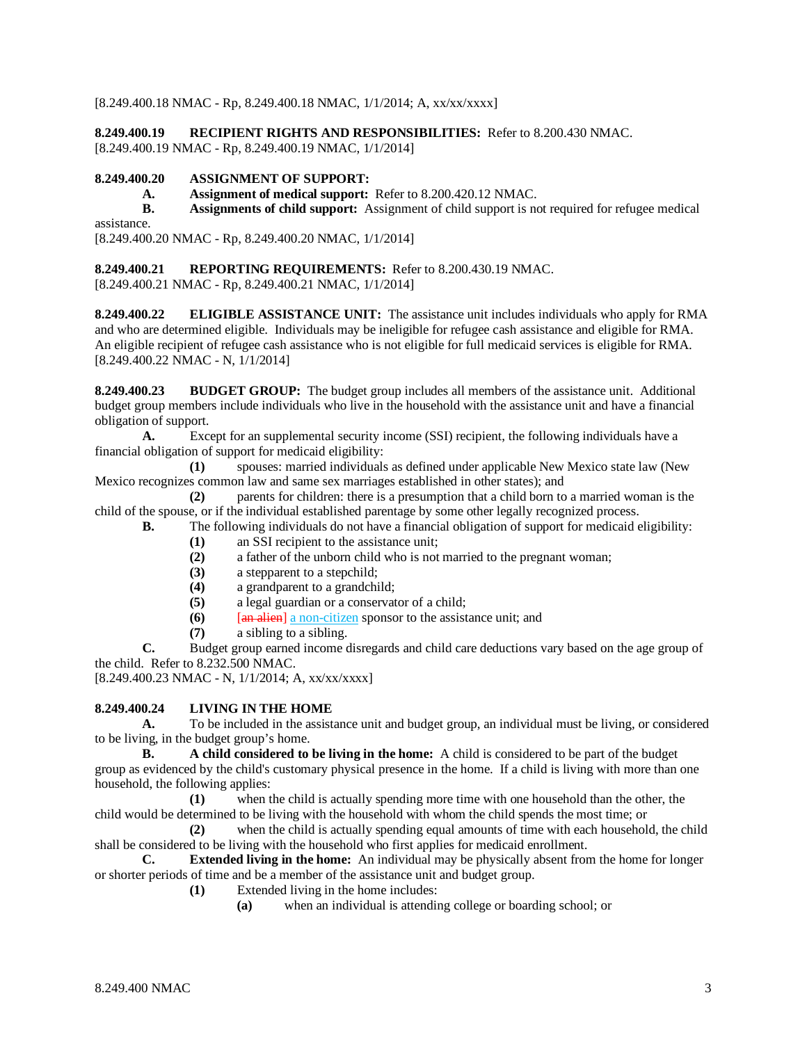[8.249.400.18 NMAC - Rp, 8.249.400.18 NMAC, 1/1/2014; A, xx/xx/xxxx]

**8.249.400.19 RECIPIENT RIGHTS AND RESPONSIBILITIES:** Refer to 8.200.430 NMAC.

[8.249.400.19 NMAC - Rp, 8.249.400.19 NMAC, 1/1/2014]

# **8.249.400.20 ASSIGNMENT OF SUPPORT:**

**A. Assignment of medical support:** Refer to 8.200.420.12 NMAC.

**B. Assignments of child support:** Assignment of child support is not required for refugee medical

assistance. [8.249.400.20 NMAC - Rp, 8.249.400.20 NMAC, 1/1/2014]

# **8.249.400.21 REPORTING REQUIREMENTS:** Refer to 8.200.430.19 NMAC.

[8.249.400.21 NMAC - Rp, 8.249.400.21 NMAC, 1/1/2014]

**8.249.400.22 ELIGIBLE ASSISTANCE UNIT:** The assistance unit includes individuals who apply for RMA and who are determined eligible. Individuals may be ineligible for refugee cash assistance and eligible for RMA. An eligible recipient of refugee cash assistance who is not eligible for full medicaid services is eligible for RMA. [8.249.400.22 NMAC - N, 1/1/2014]

**8.249.400.23 BUDGET GROUP:** The budget group includes all members of the assistance unit. Additional budget group members include individuals who live in the household with the assistance unit and have a financial obligation of support.

**A.** Except for an supplemental security income (SSI) recipient, the following individuals have a financial obligation of support for medicaid eligibility:

**(1)** spouses: married individuals as defined under applicable New Mexico state law (New Mexico recognizes common law and same sex marriages established in other states); and

**(2)** parents for children: there is a presumption that a child born to a married woman is the child of the spouse, or if the individual established parentage by some other legally recognized process.

- **B.** The following individuals do not have a financial obligation of support for medicaid eligibility:
	- (1) an SSI recipient to the assistance unit;<br>(2) a father of the unborn child who is not
	- **(2)** a father of the unborn child who is not married to the pregnant woman;
	- **(3)** a stepparent to a stepchild;
	- (4) a grandparent to a grandchild;<br>(5) a legal guardian or a conservat
	- **(5)** a legal guardian or a conservator of a child;
	- **(6)** [an alien] a non-citizen sponsor to the assistance unit; and
	- **(7)** a sibling to a sibling.

**C.** Budget group earned income disregards and child care deductions vary based on the age group of the child. Refer to 8.232.500 NMAC.

[8.249.400.23 NMAC - N, 1/1/2014; A, xx/xx/xxxx]

# **8.249.400.24 LIVING IN THE HOME**

**A.** To be included in the assistance unit and budget group, an individual must be living, or considered to be living, in the budget group's home.

**B. A child considered to be living in the home:** A child is considered to be part of the budget group as evidenced by the child's customary physical presence in the home. If a child is living with more than one household, the following applies:

**(1)** when the child is actually spending more time with one household than the other, the child would be determined to be living with the household with whom the child spends the most time; or

**(2)** when the child is actually spending equal amounts of time with each household, the child shall be considered to be living with the household who first applies for medicaid enrollment.

**C. Extended living in the home:** An individual may be physically absent from the home for longer or shorter periods of time and be a member of the assistance unit and budget group.

- **(1)** Extended living in the home includes:
	- **(a)** when an individual is attending college or boarding school; or